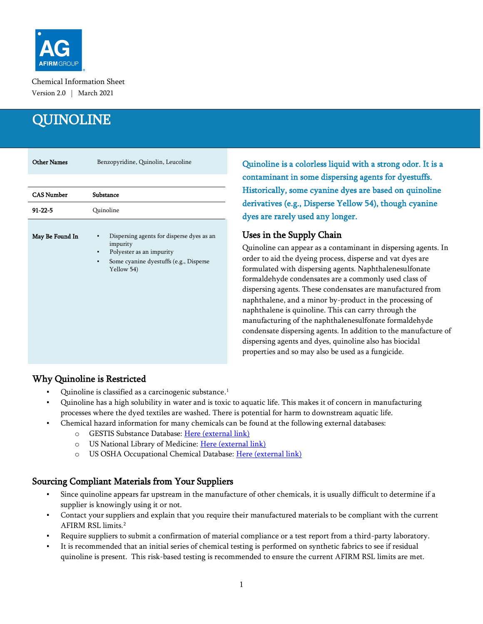

Chemical Information Sheet Version 2.0 | March 2021

# **QUINOLINE**

| <b>Other Names</b> | Benzopyridine, Quinolin, Leucoline                                                                                                                  |
|--------------------|-----------------------------------------------------------------------------------------------------------------------------------------------------|
|                    |                                                                                                                                                     |
| <b>CAS Number</b>  | Substance                                                                                                                                           |
| $91 - 22 - 5$      | Quinoline                                                                                                                                           |
| May Be Found In    | Dispersing agents for disperse dyes as an<br>impurity<br>Polyester as an impurity<br>٠<br>Some cyanine dyestuffs (e.g., Disperse<br>۰<br>Yellow 54) |

Quinoline is a colorless liquid with a strong odor. It is a contaminant in some dispersing agents for dyestuffs. Historically, some cyanine dyes are based on quinoline derivatives (e.g., Disperse Yellow 54), though cyanine dyes are rarely used any longer.

### Uses in the Supply Chain

Quinoline can appear as a contaminant in dispersing agents. In order to aid the dyeing process, disperse and vat dyes are formulated with dispersing agents. Naphthalenesulfonate formaldehyde condensates are a commonly used class of dispersing agents. These condensates are manufactured from naphthalene, and a minor by-product in the processing of naphthalene is quinoline. This can carry through the manufacturing of the naphthalenesulfonate formaldehyde condensate dispersing agents. In addition to the manufacture of dispersing agents and dyes, quinoline also has biocidal properties and so may also be used as a fungicide.

# Why Quinoline is Restricted

- Quinoline is classified as a carcinogenic substance. 1
- Quinoline has a high solubility in water and is toxic to aquatic life. This makes it of concern in manufacturing processes where the dyed textiles are washed. There is potential for harm to downstream aquatic life.
- Chemical hazard information for many chemicals can be found at the following external databases:
	- o GESTIS Substance Database: [Here \(external link\)](https://gestis-database.dguv.de/search)
	- o US National Library of Medicine: [Here \(external link\)](https://pubchem.ncbi.nlm.nih.gov/)
	- o US OSHA Occupational Chemical Database: [Here \(external link\)](https://www.osha.gov/chemicaldata/index.html)

# Sourcing Compliant Materials from Your Suppliers

- Since quinoline appears far upstream in the manufacture of other chemicals, it is usually difficult to determine if a supplier is knowingly using it or not.
- Contact your suppliers and explain that you require their manufactured materials to be compliant with the current AFIRM RSL limits.<sup>2</sup>
- Require suppliers to submit a confirmation of material compliance or a test report from a third-party laboratory.
- It is recommended that an initial series of chemical testing is performed on synthetic fabrics to see if residual quinoline is present. This risk-based testing is recommended to ensure the current AFIRM RSL limits are met.